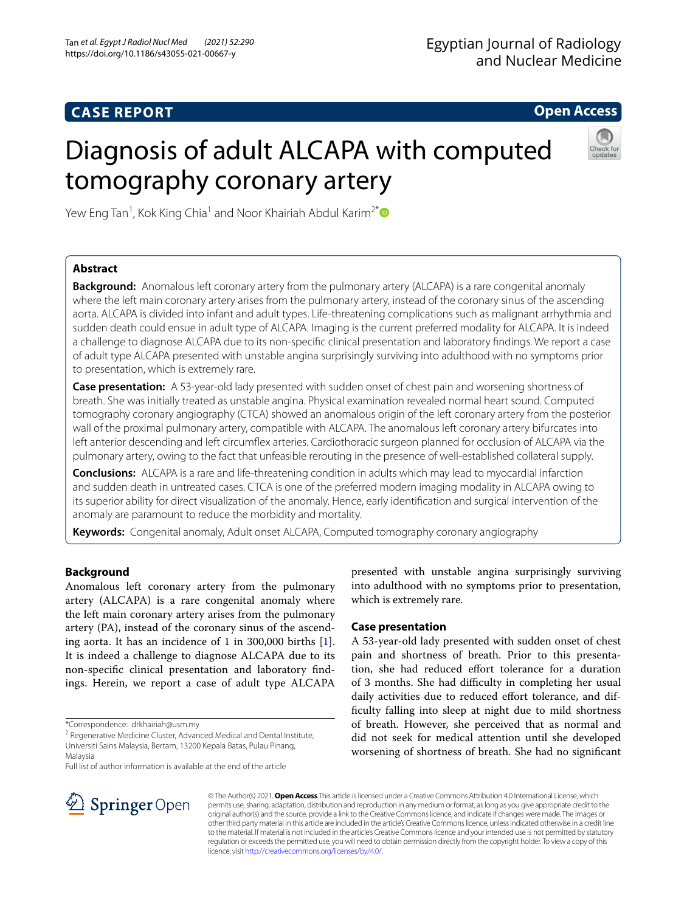# **CASE REPORT**

# **Open Access**

# Diagnosis of adult ALCAPA with computed tomography coronary artery



Yew Eng Tan<sup>1</sup>, Kok King Chia<sup>1</sup> and Noor Khairiah Abdul Karim<sup>2[\\*](http://orcid.org/0000-0001-8176-3939)</sup>

# **Abstract**

**Background:** Anomalous left coronary artery from the pulmonary artery (ALCAPA) is a rare congenital anomaly where the left main coronary artery arises from the pulmonary artery, instead of the coronary sinus of the ascending aorta. ALCAPA is divided into infant and adult types. Life-threatening complications such as malignant arrhythmia and sudden death could ensue in adult type of ALCAPA. Imaging is the current preferred modality for ALCAPA. It is indeed a challenge to diagnose ALCAPA due to its non-specifc clinical presentation and laboratory fndings. We report a case of adult type ALCAPA presented with unstable angina surprisingly surviving into adulthood with no symptoms prior to presentation, which is extremely rare.

**Case presentation:** A 53-year-old lady presented with sudden onset of chest pain and worsening shortness of breath. She was initially treated as unstable angina. Physical examination revealed normal heart sound. Computed tomography coronary angiography (CTCA) showed an anomalous origin of the left coronary artery from the posterior wall of the proximal pulmonary artery, compatible with ALCAPA. The anomalous left coronary artery bifurcates into left anterior descending and left circumflex arteries. Cardiothoracic surgeon planned for occlusion of ALCAPA via the pulmonary artery, owing to the fact that unfeasible rerouting in the presence of well-established collateral supply.

**Conclusions:** ALCAPA is a rare and life-threatening condition in adults which may lead to myocardial infarction and sudden death in untreated cases. CTCA is one of the preferred modern imaging modality in ALCAPA owing to its superior ability for direct visualization of the anomaly. Hence, early identifcation and surgical intervention of the anomaly are paramount to reduce the morbidity and mortality.

**Keywords:** Congenital anomaly, Adult onset ALCAPA, Computed tomography coronary angiography

## **Background**

Anomalous left coronary artery from the pulmonary artery (ALCAPA) is a rare congenital anomaly where the left main coronary artery arises from the pulmonary artery (PA), instead of the coronary sinus of the ascending aorta. It has an incidence of 1 in 300,000 births [\[1](#page-2-0)]. It is indeed a challenge to diagnose ALCAPA due to its non-specifc clinical presentation and laboratory fndings. Herein, we report a case of adult type ALCAPA

Full list of author information is available at the end of the article



presented with unstable angina surprisingly surviving into adulthood with no symptoms prior to presentation, which is extremely rare.

## **Case presentation**

A 53-year-old lady presented with sudden onset of chest pain and shortness of breath. Prior to this presentation, she had reduced efort tolerance for a duration of 3 months. She had difficulty in completing her usual daily activities due to reduced effort tolerance, and diffculty falling into sleep at night due to mild shortness of breath. However, she perceived that as normal and did not seek for medical attention until she developed worsening of shortness of breath. She had no signifcant

© The Author(s) 2021. **Open Access** This article is licensed under a Creative Commons Attribution 4.0 International License, which permits use, sharing, adaptation, distribution and reproduction in any medium or format, as long as you give appropriate credit to the original author(s) and the source, provide a link to the Creative Commons licence, and indicate if changes were made. The images or other third party material in this article are included in the article's Creative Commons licence, unless indicated otherwise in a credit line to the material. If material is not included in the article's Creative Commons licence and your intended use is not permitted by statutory regulation or exceeds the permitted use, you will need to obtain permission directly from the copyright holder. To view a copy of this licence, visit [http://creativecommons.org/licenses/by/4.0/.](http://creativecommons.org/licenses/by/4.0/)

<sup>\*</sup>Correspondence: drkhairiah@usm.my

<sup>&</sup>lt;sup>2</sup> Regenerative Medicine Cluster, Advanced Medical and Dental Institute, Universiti Sains Malaysia, Bertam, 13200 Kepala Batas, Pulau Pinang, Malaysia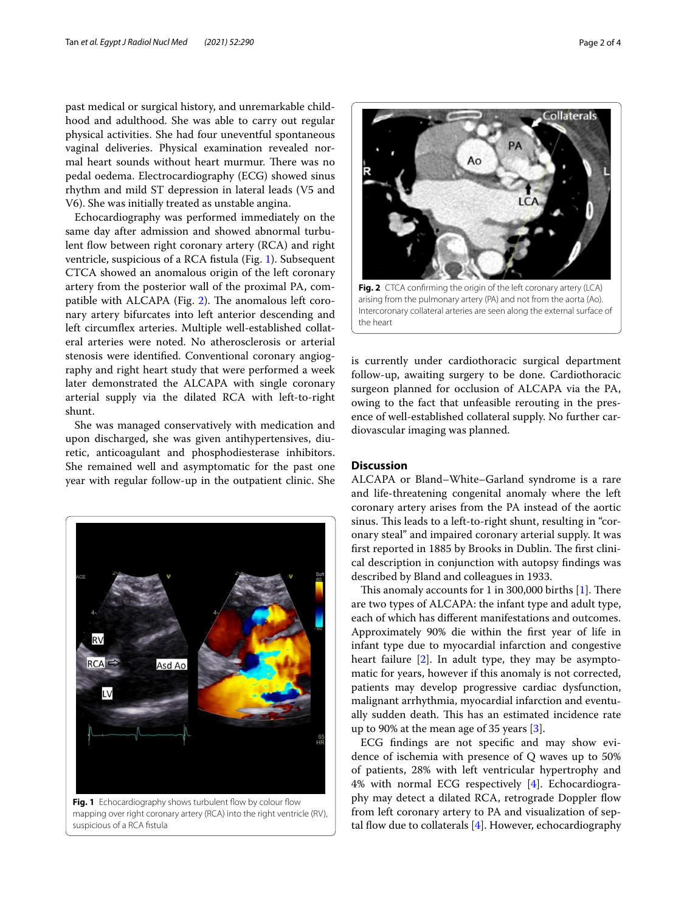past medical or surgical history, and unremarkable childhood and adulthood. She was able to carry out regular physical activities. She had four uneventful spontaneous vaginal deliveries. Physical examination revealed normal heart sounds without heart murmur. There was no pedal oedema. Electrocardiography (ECG) showed sinus rhythm and mild ST depression in lateral leads (V5 and V6). She was initially treated as unstable angina.

Echocardiography was performed immediately on the same day after admission and showed abnormal turbulent flow between right coronary artery (RCA) and right ventricle, suspicious of a RCA fstula (Fig. [1\)](#page-1-0). Subsequent CTCA showed an anomalous origin of the left coronary artery from the posterior wall of the proximal PA, compatible with ALCAPA (Fig.  $2$ ). The anomalous left coronary artery bifurcates into left anterior descending and left circumfex arteries. Multiple well-established collateral arteries were noted. No atherosclerosis or arterial stenosis were identifed. Conventional coronary angiography and right heart study that were performed a week later demonstrated the ALCAPA with single coronary arterial supply via the dilated RCA with left-to-right shunt.

She was managed conservatively with medication and upon discharged, she was given antihypertensives, diuretic, anticoagulant and phosphodiesterase inhibitors. She remained well and asymptomatic for the past one year with regular follow-up in the outpatient clinic. She



<span id="page-1-0"></span>mapping over right coronary artery (RCA) into the right ventricle (RV), suspicious of a RCA fstula



<span id="page-1-1"></span>**Fig. 2** CTCA confrming the origin of the left coronary artery (LCA) arising from the pulmonary artery (PA) and not from the aorta (Ao). Intercoronary collateral arteries are seen along the external surface of the heart

is currently under cardiothoracic surgical department follow-up, awaiting surgery to be done. Cardiothoracic surgeon planned for occlusion of ALCAPA via the PA, owing to the fact that unfeasible rerouting in the presence of well-established collateral supply. No further cardiovascular imaging was planned.

### **Discussion**

ALCAPA or Bland–White–Garland syndrome is a rare and life-threatening congenital anomaly where the left coronary artery arises from the PA instead of the aortic sinus. This leads to a left-to-right shunt, resulting in "coronary steal" and impaired coronary arterial supply. It was first reported in 1885 by Brooks in Dublin. The first clinical description in conjunction with autopsy fndings was described by Bland and colleagues in 1933.

This anomaly accounts for 1 in 300,000 births  $[1]$  $[1]$ . There are two types of ALCAPA: the infant type and adult type, each of which has diferent manifestations and outcomes. Approximately 90% die within the frst year of life in infant type due to myocardial infarction and congestive heart failure [\[2](#page-2-1)]. In adult type, they may be asymptomatic for years, however if this anomaly is not corrected, patients may develop progressive cardiac dysfunction, malignant arrhythmia, myocardial infarction and eventually sudden death. This has an estimated incidence rate up to 90% at the mean age of 35 years [\[3](#page-2-2)].

ECG fndings are not specifc and may show evidence of ischemia with presence of Q waves up to 50% of patients, 28% with left ventricular hypertrophy and 4% with normal ECG respectively [\[4](#page-2-3)]. Echocardiography may detect a dilated RCA, retrograde Doppler flow from left coronary artery to PA and visualization of septal flow due to collaterals  $[4]$  $[4]$ . However, echocardiography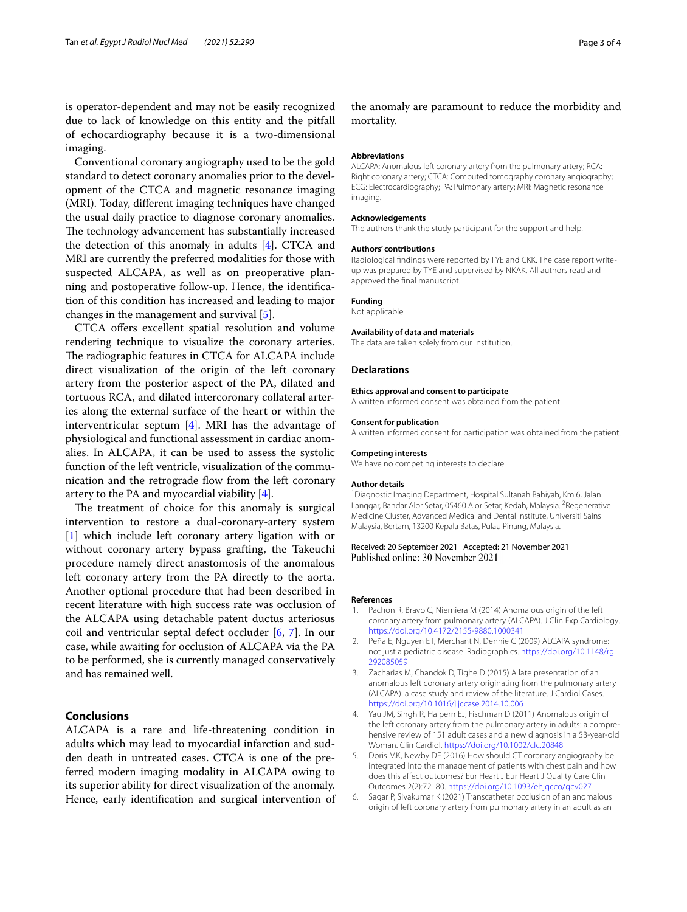is operator-dependent and may not be easily recognized due to lack of knowledge on this entity and the pitfall of echocardiography because it is a two-dimensional imaging.

Conventional coronary angiography used to be the gold standard to detect coronary anomalies prior to the development of the CTCA and magnetic resonance imaging (MRI). Today, diferent imaging techniques have changed the usual daily practice to diagnose coronary anomalies. The technology advancement has substantially increased the detection of this anomaly in adults  $[4]$  $[4]$ . CTCA and MRI are currently the preferred modalities for those with suspected ALCAPA, as well as on preoperative planning and postoperative follow-up. Hence, the identifcation of this condition has increased and leading to major changes in the management and survival [[5\]](#page-2-4).

CTCA offers excellent spatial resolution and volume rendering technique to visualize the coronary arteries. The radiographic features in CTCA for ALCAPA include direct visualization of the origin of the left coronary artery from the posterior aspect of the PA, dilated and tortuous RCA, and dilated intercoronary collateral arteries along the external surface of the heart or within the interventricular septum [[4](#page-2-3)]. MRI has the advantage of physiological and functional assessment in cardiac anomalies. In ALCAPA, it can be used to assess the systolic function of the left ventricle, visualization of the communication and the retrograde flow from the left coronary artery to the PA and myocardial viability [[4\]](#page-2-3).

The treatment of choice for this anomaly is surgical intervention to restore a dual-coronary-artery system [[1\]](#page-2-0) which include left coronary artery ligation with or without coronary artery bypass grafting, the Takeuchi procedure namely direct anastomosis of the anomalous left coronary artery from the PA directly to the aorta. Another optional procedure that had been described in recent literature with high success rate was occlusion of the ALCAPA using detachable patent ductus arteriosus coil and ventricular septal defect occluder [[6,](#page-2-5) [7](#page-3-0)]. In our case, while awaiting for occlusion of ALCAPA via the PA to be performed, she is currently managed conservatively and has remained well.

## **Conclusions**

ALCAPA is a rare and life-threatening condition in adults which may lead to myocardial infarction and sudden death in untreated cases. CTCA is one of the preferred modern imaging modality in ALCAPA owing to its superior ability for direct visualization of the anomaly. Hence, early identifcation and surgical intervention of

the anomaly are paramount to reduce the morbidity and mortality.

#### **Abbreviations**

ALCAPA: Anomalous left coronary artery from the pulmonary artery; RCA: Right coronary artery; CTCA: Computed tomography coronary angiography; ECG: Electrocardiography; PA: Pulmonary artery; MRI: Magnetic resonance imaging.

#### **Acknowledgements**

The authors thank the study participant for the support and help.

#### **Authors' contributions**

Radiological fndings were reported by TYE and CKK. The case report writeup was prepared by TYE and supervised by NKAK. All authors read and approved the fnal manuscript.

#### **Funding**

Not applicable.

#### **Availability of data and materials**

The data are taken solely from our institution.

#### **Declarations**

#### **Ethics approval and consent to participate**

A written informed consent was obtained from the patient.

#### **Consent for publication**

A written informed consent for participation was obtained from the patient.

#### **Competing interests**

We have no competing interests to declare.

#### **Author details**

1 Diagnostic Imaging Department, Hospital Sultanah Bahiyah, Km 6, Jalan Langgar, Bandar Alor Setar, 05460 Alor Setar, Kedah, Malaysia. <sup>2</sup> Regenerative Medicine Cluster, Advanced Medical and Dental Institute, Universiti Sains Malaysia, Bertam, 13200 Kepala Batas, Pulau Pinang, Malaysia.

#### Received: 20 September 2021 Accepted: 21 November 2021 Published online: 30 November 2021

#### **References**

- <span id="page-2-0"></span>1. Pachon R, Bravo C, Niemiera M (2014) Anomalous origin of the left coronary artery from pulmonary artery (ALCAPA). J Clin Exp Cardiology. <https://doi.org/10.4172/2155-9880.1000341>
- <span id="page-2-1"></span>2. Peña E, Nguyen ET, Merchant N, Dennie C (2009) ALCAPA syndrome: not just a pediatric disease. Radiographics. [https://doi.org/10.1148/rg.](https://doi.org/10.1148/rg.292085059) [292085059](https://doi.org/10.1148/rg.292085059)
- <span id="page-2-2"></span>3. Zacharias M, Chandok D, Tighe D (2015) A late presentation of an anomalous left coronary artery originating from the pulmonary artery (ALCAPA): a case study and review of the literature. J Cardiol Cases. <https://doi.org/10.1016/j.jccase.2014.10.006>
- <span id="page-2-3"></span>4. Yau JM, Singh R, Halpern EJ, Fischman D (2011) Anomalous origin of the left coronary artery from the pulmonary artery in adults: a comprehensive review of 151 adult cases and a new diagnosis in a 53-year-old Woman. Clin Cardiol.<https://doi.org/10.1002/clc.20848>
- <span id="page-2-4"></span>5. Doris MK, Newby DE (2016) How should CT coronary angiography be integrated into the management of patients with chest pain and how does this afect outcomes? Eur Heart J Eur Heart J Quality Care Clin Outcomes 2(2):72–80. <https://doi.org/10.1093/ehjqcco/qcv027>
- <span id="page-2-5"></span>6. Sagar P, Sivakumar K (2021) Transcatheter occlusion of an anomalous origin of left coronary artery from pulmonary artery in an adult as an